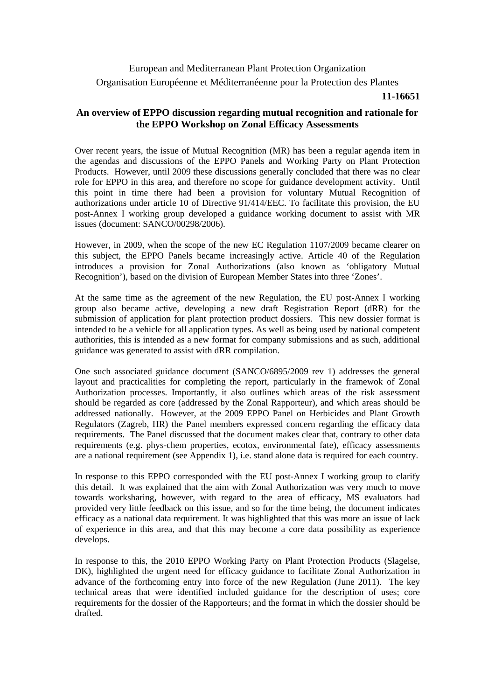European and Mediterranean Plant Protection Organization Organisation Européenne et Méditerranéenne pour la Protection des Plantes

## **11-16651**

## **An overview of EPPO discussion regarding mutual recognition and rationale for the EPPO Workshop on Zonal Efficacy Assessments**

Over recent years, the issue of Mutual Recognition (MR) has been a regular agenda item in the agendas and discussions of the EPPO Panels and Working Party on Plant Protection Products. However, until 2009 these discussions generally concluded that there was no clear role for EPPO in this area, and therefore no scope for guidance development activity. Until this point in time there had been a provision for voluntary Mutual Recognition of authorizations under article 10 of Directive 91/414/EEC. To facilitate this provision, the EU post-Annex I working group developed a guidance working document to assist with MR issues (document: SANCO/00298/2006).

However, in 2009, when the scope of the new EC Regulation 1107/2009 became clearer on this subject, the EPPO Panels became increasingly active. Article 40 of the Regulation introduces a provision for Zonal Authorizations (also known as 'obligatory Mutual Recognition'), based on the division of European Member States into three 'Zones'.

At the same time as the agreement of the new Regulation, the EU post-Annex I working group also became active, developing a new draft Registration Report (dRR) for the submission of application for plant protection product dossiers. This new dossier format is intended to be a vehicle for all application types. As well as being used by national competent authorities, this is intended as a new format for company submissions and as such, additional guidance was generated to assist with dRR compilation.

One such associated guidance document (SANCO/6895/2009 rev 1) addresses the general layout and practicalities for completing the report, particularly in the framewok of Zonal Authorization processes. Importantly, it also outlines which areas of the risk assessment should be regarded as core (addressed by the Zonal Rapporteur), and which areas should be addressed nationally. However, at the 2009 EPPO Panel on Herbicides and Plant Growth Regulators (Zagreb, HR) the Panel members expressed concern regarding the efficacy data requirements. The Panel discussed that the document makes clear that, contrary to other data requirements (e.g. phys-chem properties, ecotox, environmental fate), efficacy assessments are a national requirement (see Appendix 1), i.e. stand alone data is required for each country.

In response to this EPPO corresponded with the EU post-Annex I working group to clarify this detail. It was explained that the aim with Zonal Authorization was very much to move towards worksharing, however, with regard to the area of efficacy, MS evaluators had provided very little feedback on this issue, and so for the time being, the document indicates efficacy as a national data requirement. It was highlighted that this was more an issue of lack of experience in this area, and that this may become a core data possibility as experience develops.

In response to this, the 2010 EPPO Working Party on Plant Protection Products (Slagelse, DK), highlighted the urgent need for efficacy guidance to facilitate Zonal Authorization in advance of the forthcoming entry into force of the new Regulation (June 2011). The key technical areas that were identified included guidance for the description of uses; core requirements for the dossier of the Rapporteurs; and the format in which the dossier should be drafted.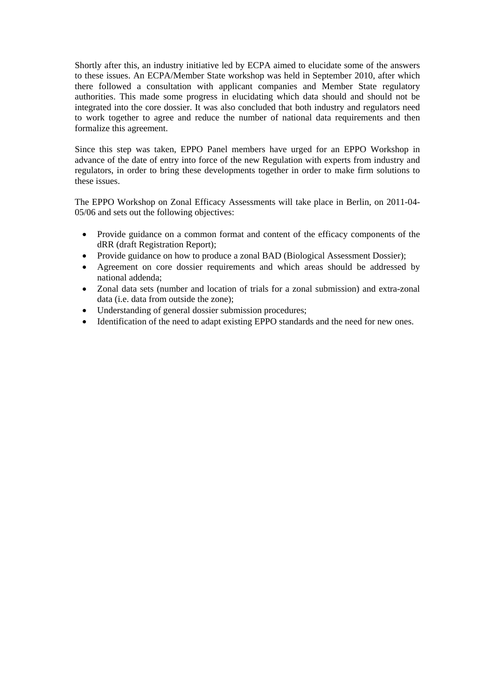Shortly after this, an industry initiative led by ECPA aimed to elucidate some of the answers to these issues. An ECPA/Member State workshop was held in September 2010, after which there followed a consultation with applicant companies and Member State regulatory authorities. This made some progress in elucidating which data should and should not be integrated into the core dossier. It was also concluded that both industry and regulators need to work together to agree and reduce the number of national data requirements and then formalize this agreement.

Since this step was taken, EPPO Panel members have urged for an EPPO Workshop in advance of the date of entry into force of the new Regulation with experts from industry and regulators, in order to bring these developments together in order to make firm solutions to these issues.

The EPPO Workshop on Zonal Efficacy Assessments will take place in Berlin, on 2011-04- 05/06 and sets out the following objectives:

- Provide guidance on a common format and content of the efficacy components of the dRR (draft Registration Report);
- Provide guidance on how to produce a zonal BAD (Biological Assessment Dossier);
- Agreement on core dossier requirements and which areas should be addressed by national addenda;
- Zonal data sets (number and location of trials for a zonal submission) and extra-zonal data (i.e. data from outside the zone);
- Understanding of general dossier submission procedures;
- Identification of the need to adapt existing EPPO standards and the need for new ones.